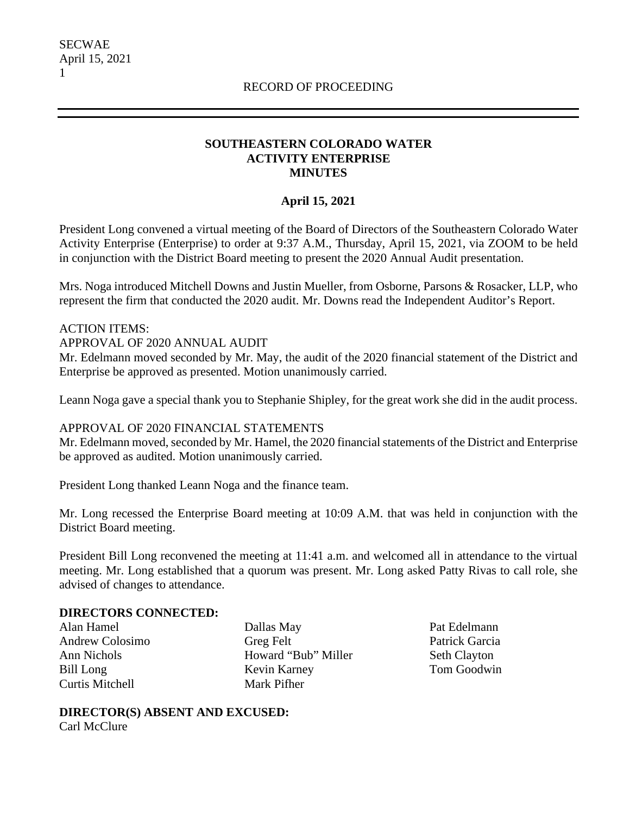## **SOUTHEASTERN COLORADO WATER ACTIVITY ENTERPRISE MINUTES**

# **April 15, 2021**

President Long convened a virtual meeting of the Board of Directors of the Southeastern Colorado Water Activity Enterprise (Enterprise) to order at 9:37 A.M., Thursday, April 15, 2021, via ZOOM to be held in conjunction with the District Board meeting to present the 2020 Annual Audit presentation.

Mrs. Noga introduced Mitchell Downs and Justin Mueller, from Osborne, Parsons & Rosacker, LLP, who represent the firm that conducted the 2020 audit. Mr. Downs read the Independent Auditor's Report.

ACTION ITEMS: APPROVAL OF 2020 ANNUAL AUDIT

Mr. Edelmann moved seconded by Mr. May, the audit of the 2020 financial statement of the District and Enterprise be approved as presented. Motion unanimously carried.

Leann Noga gave a special thank you to Stephanie Shipley, for the great work she did in the audit process.

#### APPROVAL OF 2020 FINANCIAL STATEMENTS

Mr. Edelmann moved, seconded by Mr. Hamel, the 2020 financial statements of the District and Enterprise be approved as audited. Motion unanimously carried.

President Long thanked Leann Noga and the finance team.

Mr. Long recessed the Enterprise Board meeting at 10:09 A.M. that was held in conjunction with the District Board meeting.

President Bill Long reconvened the meeting at 11:41 a.m. and welcomed all in attendance to the virtual meeting. Mr. Long established that a quorum was present. Mr. Long asked Patty Rivas to call role, she advised of changes to attendance.

#### **DIRECTORS CONNECTED:**

Alan Hamel Andrew Colosimo Ann Nichols Bill Long Curtis Mitchell

Dallas May Greg Felt Howard "Bub" Miller Kevin Karney Mark Pifher

Pat Edelmann Patrick Garcia Seth Clayton Tom Goodwin

**DIRECTOR(S) ABSENT AND EXCUSED:** Carl McClure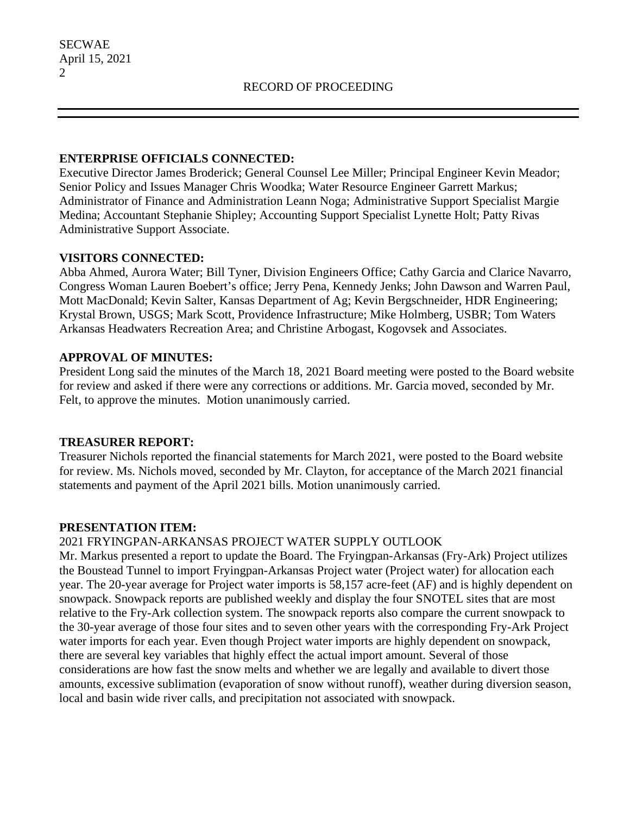### **ENTERPRISE OFFICIALS CONNECTED:**

Executive Director James Broderick; General Counsel Lee Miller; Principal Engineer Kevin Meador; Senior Policy and Issues Manager Chris Woodka; Water Resource Engineer Garrett Markus; Administrator of Finance and Administration Leann Noga; Administrative Support Specialist Margie Medina; Accountant Stephanie Shipley; Accounting Support Specialist Lynette Holt; Patty Rivas Administrative Support Associate.

### **VISITORS CONNECTED:**

Abba Ahmed, Aurora Water; Bill Tyner, Division Engineers Office; Cathy Garcia and Clarice Navarro, Congress Woman Lauren Boebert's office; Jerry Pena, Kennedy Jenks; John Dawson and Warren Paul, Mott MacDonald; Kevin Salter, Kansas Department of Ag; Kevin Bergschneider, HDR Engineering; Krystal Brown, USGS; Mark Scott, Providence Infrastructure; Mike Holmberg, USBR; Tom Waters Arkansas Headwaters Recreation Area; and Christine Arbogast, Kogovsek and Associates.

## **APPROVAL OF MINUTES:**

President Long said the minutes of the March 18, 2021 Board meeting were posted to the Board website for review and asked if there were any corrections or additions. Mr. Garcia moved, seconded by Mr. Felt, to approve the minutes. Motion unanimously carried.

## **TREASURER REPORT:**

Treasurer Nichols reported the financial statements for March 2021, were posted to the Board website for review. Ms. Nichols moved, seconded by Mr. Clayton, for acceptance of the March 2021 financial statements and payment of the April 2021 bills. Motion unanimously carried.

#### **PRESENTATION ITEM:**

## 2021 FRYINGPAN-ARKANSAS PROJECT WATER SUPPLY OUTLOOK

Mr. Markus presented a report to update the Board. The Fryingpan-Arkansas (Fry-Ark) Project utilizes the Boustead Tunnel to import Fryingpan-Arkansas Project water (Project water) for allocation each year. The 20-year average for Project water imports is 58,157 acre-feet (AF) and is highly dependent on snowpack. Snowpack reports are published weekly and display the four SNOTEL sites that are most relative to the Fry-Ark collection system. The snowpack reports also compare the current snowpack to the 30-year average of those four sites and to seven other years with the corresponding Fry-Ark Project water imports for each year. Even though Project water imports are highly dependent on snowpack, there are several key variables that highly effect the actual import amount. Several of those considerations are how fast the snow melts and whether we are legally and available to divert those amounts, excessive sublimation (evaporation of snow without runoff), weather during diversion season, local and basin wide river calls, and precipitation not associated with snowpack.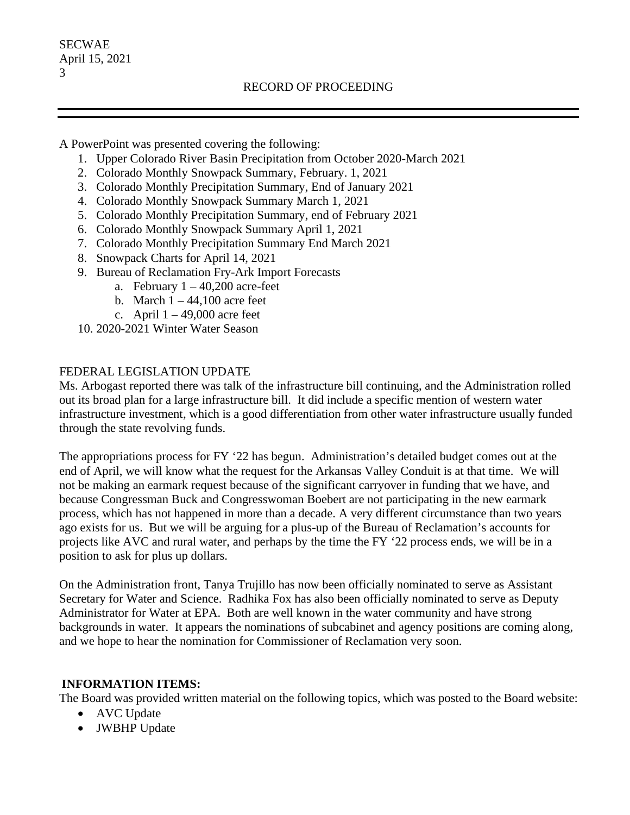A PowerPoint was presented covering the following:

- 1. Upper Colorado River Basin Precipitation from October 2020-March 2021
- 2. Colorado Monthly Snowpack Summary, February. 1, 2021
- 3. Colorado Monthly Precipitation Summary, End of January 2021
- 4. Colorado Monthly Snowpack Summary March 1, 2021
- 5. Colorado Monthly Precipitation Summary, end of February 2021
- 6. Colorado Monthly Snowpack Summary April 1, 2021
- 7. Colorado Monthly Precipitation Summary End March 2021
- 8. Snowpack Charts for April 14, 2021
- 9. Bureau of Reclamation Fry-Ark Import Forecasts
	- a. February  $1 40,200$  acre-feet
	- b. March  $1 44,100$  acre feet
	- c. April  $1 49,000$  acre feet
- 10. 2020-2021 Winter Water Season

### FEDERAL LEGISLATION UPDATE

Ms. Arbogast reported there was talk of the infrastructure bill continuing, and the Administration rolled out its broad plan for a large infrastructure bill. It did include a specific mention of western water infrastructure investment, which is a good differentiation from other water infrastructure usually funded through the state revolving funds.

The appropriations process for FY '22 has begun. Administration's detailed budget comes out at the end of April, we will know what the request for the Arkansas Valley Conduit is at that time. We will not be making an earmark request because of the significant carryover in funding that we have, and because Congressman Buck and Congresswoman Boebert are not participating in the new earmark process, which has not happened in more than a decade. A very different circumstance than two years ago exists for us. But we will be arguing for a plus-up of the Bureau of Reclamation's accounts for projects like AVC and rural water, and perhaps by the time the FY '22 process ends, we will be in a position to ask for plus up dollars.

On the Administration front, Tanya Trujillo has now been officially nominated to serve as Assistant Secretary for Water and Science. Radhika Fox has also been officially nominated to serve as Deputy Administrator for Water at EPA. Both are well known in the water community and have strong backgrounds in water. It appears the nominations of subcabinet and agency positions are coming along, and we hope to hear the nomination for Commissioner of Reclamation very soon.

## **INFORMATION ITEMS:**

The Board was provided written material on the following topics, which was posted to the Board website:

- AVC Update
- JWBHP Update